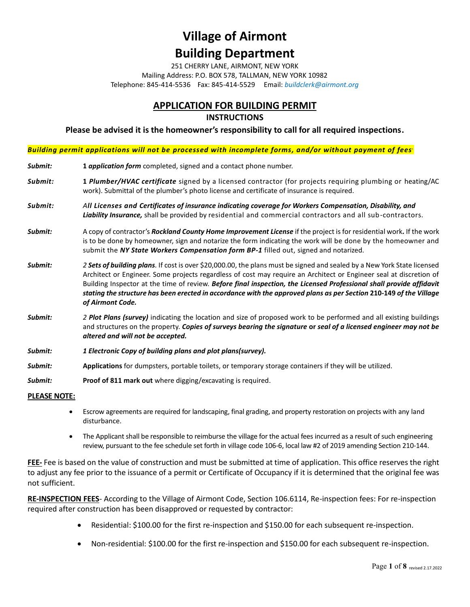251 CHERRY LANE, AIRMONT, NEW YORK Mailing Address: P.O. BOX 578, TALLMAN, NEW YORK 10982 Telephone: 845-414-5536 Fax: 845-414-5529 Email: *buildclerk@airmont.org*

### **APPLICATION FOR BUILDING PERMIT**

#### **INSTRUCTIONS**

**Please be advised it is the homeowner's responsibility to call for all required inspections.** 

*Building permit applications will not be processed with incomplete forms, and/or without payment of fees.*

| Submit: | 1 application form completed, signed and a contact phone number.                                                                                                                                                                                                                                                                                                                                                                                                                                                |
|---------|-----------------------------------------------------------------------------------------------------------------------------------------------------------------------------------------------------------------------------------------------------------------------------------------------------------------------------------------------------------------------------------------------------------------------------------------------------------------------------------------------------------------|
| Submit: | 1 Plumber/HVAC certificate signed by a licensed contractor (for projects requiring plumbing or heating/AC<br>work). Submittal of the plumber's photo license and certificate of insurance is required.                                                                                                                                                                                                                                                                                                          |
| Submit: | All Licenses and Certificates of insurance indicating coverage for Workers Compensation, Disability, and<br>Liability Insurance, shall be provided by residential and commercial contractors and all sub-contractors.                                                                                                                                                                                                                                                                                           |
| Submit: | A copy of contractor's Rockland County Home Improvement License if the project is for residential work. If the work<br>is to be done by homeowner, sign and notarize the form indicating the work will be done by the homeowner and<br>submit the NY State Workers Compensation form BP-1 filled out, signed and notarized.                                                                                                                                                                                     |
| Submit: | 2 Sets of building plans. If cost is over \$20,000.00, the plans must be signed and sealed by a New York State licensed<br>Architect or Engineer. Some projects regardless of cost may require an Architect or Engineer seal at discretion of<br>Building Inspector at the time of review. Before final inspection, the Licensed Professional shall provide affidavit<br>stating the structure has been erected in accordance with the approved plans as per Section 210-149 of the Village<br>of Airmont Code. |
| Submit: | 2 Plot Plans (survey) indicating the location and size of proposed work to be performed and all existing buildings<br>and structures on the property. Copies of surveys bearing the signature or seal of a licensed engineer may not be<br>altered and will not be accepted.                                                                                                                                                                                                                                    |
| Submit: | 1 Electronic Copy of building plans and plot plans(survey).                                                                                                                                                                                                                                                                                                                                                                                                                                                     |
| Submit: | Applications for dumpsters, portable toilets, or temporary storage containers if they will be utilized.                                                                                                                                                                                                                                                                                                                                                                                                         |

**Submit: Proof of 811 mark out** where digging/excavating is required.

#### **PLEASE NOTE:**

- Escrow agreements are required for landscaping, final grading, and property restoration on projects with any land disturbance.
- The Applicant shall be responsible to reimburse the village for the actual fees incurred as a result of such engineering review, pursuant to the fee schedule set forth in village code 106-6, local law #2 of 2019 amending Section 210-144.

**FEE-** Fee is based on the value of construction and must be submitted at time of application. This office reserves the right to adjust any fee prior to the issuance of a permit or Certificate of Occupancy if it is determined that the original fee was not sufficient.

**RE-INSPECTION FEES**- According to the Village of Airmont Code, Section 106.6114, Re-inspection fees: For re-inspection required after construction has been disapproved or requested by contractor:

- Residential: \$100.00 for the first re-inspection and \$150.00 for each subsequent re-inspection.
- Non-residential: \$100.00 for the first re-inspection and \$150.00 for each subsequent re-inspection.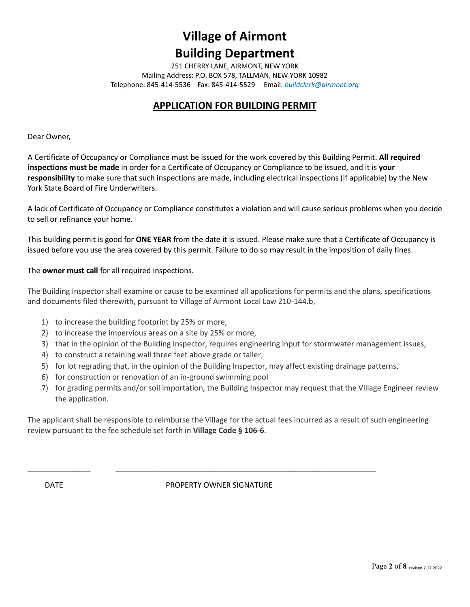251 CHERRY LANE, AIRMONT, NEW YORK Mailing Address: P.O. BOX 578, TALLMAN, NEW YORK 10982 Telephone: 845-414-5536 Fax: 845-414-5529 Email: *buildclerk@airmont.org*

### **APPLICATION FOR BUILDING PERMIT**

Dear Owner,

A Certificate of Occupancy or Compliance must be issued for the work covered by this Building Permit. **All required inspections must be made** in order for a Certificate of Occupancy or Compliance to be issued, and it is **your responsibility** to make sure that such inspections are made, including electrical inspections (if applicable) by the New York State Board of Fire Underwriters.

A lack of Certificate of Occupancy or Compliance constitutes a violation and will cause serious problems when you decide to sell or refinance your home.

This building permit is good for **ONE YEAR** from the date it is issued. Please make sure that a Certificate of Occupancy is issued before you use the area covered by this permit. Failure to do so may result in the imposition of daily fines.

The **owner must call** for all required inspections.

The Building Inspector shall examine or cause to be examined all applications for permits and the plans, specifications and documents filed therewith, pursuant to Village of Airmont Local Law 210-144.b,

- 1) to increase the building footprint by 25% or more,
- 2) to increase the impervious areas on a site by 25% or more,
- 3) that in the opinion of the Building Inspector, requires engineering input for stormwater management issues,
- 4) to construct a retaining wall three feet above grade or taller,
- 5) for lot regrading that, in the opinion of the Building Inspector, may affect existing drainage patterns,
- 6) for construction or renovation of an in-ground swimming pool
- 7) for grading permits and/or soil importation, the Building Inspector may request that the Village Engineer review the application.

The applicant shall be responsible to reimburse the Village for the actual fees incurred as a result of such engineering review pursuant to the fee schedule set forth in **Village Code § 106-6**.

DATE **DATE** PROPERTY OWNER SIGNATURE

\_\_\_\_\_\_\_\_\_\_\_\_\_\_\_ \_\_\_\_\_\_\_\_\_\_\_\_\_\_\_\_\_\_\_\_\_\_\_\_\_\_\_\_\_\_\_\_\_\_\_\_\_\_\_\_\_\_\_\_\_\_\_\_\_\_\_\_\_\_\_\_\_\_\_\_\_\_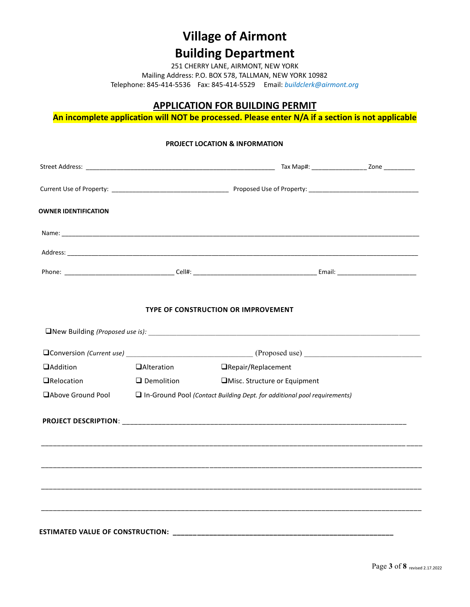251 CHERRY LANE, AIRMONT, NEW YORK Mailing Address: P.O. BOX 578, TALLMAN, NEW YORK 10982 Telephone: 845-414-5536 Fax: 845-414-5529 Email: *buildclerk@airmont.org*

### **APPLICATION FOR BUILDING PERMIT**

**An incomplete application will NOT be processed. Please enter N/A if a section is not applicable**

# **PROJECT LOCATION & INFORMATION** Street Address: \_\_\_\_\_\_\_\_\_\_\_\_\_\_\_\_\_\_\_\_\_\_\_\_\_\_\_\_\_\_\_\_\_\_\_\_\_\_\_\_\_\_\_\_\_\_\_\_\_\_\_\_\_\_\_ Tax Map#: \_\_\_\_\_\_\_\_\_\_\_\_\_\_\_\_ Zone \_\_\_\_\_\_\_\_\_ Current Use of Property: \_\_\_\_\_\_\_\_\_\_\_\_\_\_\_\_\_\_\_\_\_\_\_\_\_\_\_\_\_\_\_\_\_\_ Proposed Use of Property: \_\_\_\_\_\_\_\_\_\_\_\_\_\_\_\_\_\_\_\_\_\_\_\_\_\_\_\_\_\_\_\_ **OWNER IDENTIFICATION**  Name:  $\blacksquare$  Address: \_\_\_\_\_\_\_\_\_\_\_\_\_\_\_\_\_\_\_\_\_\_\_\_\_\_\_\_\_\_\_\_\_\_\_\_\_\_\_\_\_\_\_\_\_\_\_\_\_\_\_\_\_\_\_\_\_\_\_\_\_\_\_\_\_\_\_\_\_\_\_\_\_\_\_\_\_\_\_\_\_\_\_\_\_\_\_\_\_\_\_\_\_\_\_\_\_\_\_\_\_\_ Phone: \_\_\_\_\_\_\_\_\_\_\_\_\_\_\_\_\_\_\_\_\_\_\_\_\_\_\_\_\_\_\_\_ Cell#: \_\_\_\_\_\_\_\_\_\_\_\_\_\_\_\_\_\_\_\_\_\_\_\_\_\_\_\_\_\_\_\_\_\_\_\_ Email: \_\_\_\_\_\_\_\_\_\_\_\_\_\_\_\_\_\_\_\_\_\_\_  **TYPE OF CONSTRUCTION OR IMPROVEMENT** ❑New Building *(Proposed use is): \_\_\_\_\_\_\_\_\_\_\_\_\_\_\_\_\_\_\_\_\_\_\_\_\_\_\_\_\_\_\_\_\_\_\_\_\_\_\_\_\_\_\_\_\_\_\_\_\_\_\_\_\_\_\_\_\_\_\_\_\_\_\_\_\_\_\_\_\_\_\_\_\_\_\_\_\_* ❑Conversion *(Current use) \_\_\_\_\_\_\_\_\_\_\_\_\_\_\_\_\_\_\_\_\_\_\_\_\_\_\_\_\_\_\_\_\_\_\_\_* (Proposed use) \_\_\_\_\_\_\_\_\_\_\_\_\_\_\_\_\_\_\_\_\_\_\_\_\_\_\_\_\_\_ ❑Addition ❑Alteration ❑Repair/Replacement ❑Relocation ❑ Demolition ❑Misc. Structure or Equipment ❑Above Ground Pool ❑ In-Ground Pool *(Contact Building Dept. for additional pool requirements)*  **PROJECT DESCRIPTION**: \_\_\_\_\_\_\_\_\_\_\_\_\_\_\_\_\_\_\_\_\_\_\_\_\_\_\_\_\_\_\_\_\_\_\_\_\_\_\_\_\_\_\_\_\_\_\_\_\_\_\_\_\_\_\_\_\_\_\_\_\_\_\_\_\_\_\_\_\_\_\_ \_\_\_\_\_\_\_\_\_\_\_\_\_\_\_\_\_\_\_\_\_\_\_\_\_\_\_\_\_\_\_\_\_\_\_\_\_\_\_\_\_\_\_\_\_\_\_\_\_\_\_\_\_\_\_\_\_\_\_\_\_\_\_\_\_\_\_\_\_\_\_\_\_\_\_\_\_\_\_\_\_\_\_\_\_\_\_\_\_\_\_ \_\_\_\_ \_\_\_\_\_\_\_\_\_\_\_\_\_\_\_\_\_\_\_\_\_\_\_\_\_\_\_\_\_\_\_\_\_\_\_\_\_\_\_\_\_\_\_\_\_\_\_\_\_\_\_\_\_\_\_\_\_\_\_\_\_\_\_\_\_\_\_\_\_\_\_\_\_\_\_\_\_\_\_\_\_\_\_\_\_\_\_\_\_\_\_\_\_\_\_ \_\_\_\_\_\_\_\_\_\_\_\_\_\_\_\_\_\_\_\_\_\_\_\_\_\_\_\_\_\_\_\_\_\_\_\_\_\_\_\_\_\_\_\_\_\_\_\_\_\_\_\_\_\_\_\_\_\_\_\_\_\_\_\_\_\_\_\_\_\_\_\_\_\_\_\_\_\_\_\_\_\_\_\_\_\_\_\_\_\_\_\_\_\_\_ \_\_\_\_\_\_\_\_\_\_\_\_\_\_\_\_\_\_\_\_\_\_\_\_\_\_\_\_\_\_\_\_\_\_\_\_\_\_\_\_\_\_\_\_\_\_\_\_\_\_\_\_\_\_\_\_\_\_\_\_\_\_\_\_\_\_\_\_\_\_\_\_\_\_\_\_\_\_\_\_\_\_\_\_\_\_\_\_\_\_\_\_\_\_\_  **ESTIMATED VALUE OF CONSTRUCTION: \_\_\_\_\_\_\_\_\_\_\_\_\_\_\_\_\_\_\_\_\_\_\_\_\_\_\_\_\_\_\_\_\_\_\_\_\_\_\_\_\_\_\_\_\_\_\_\_\_\_\_\_\_\_\_**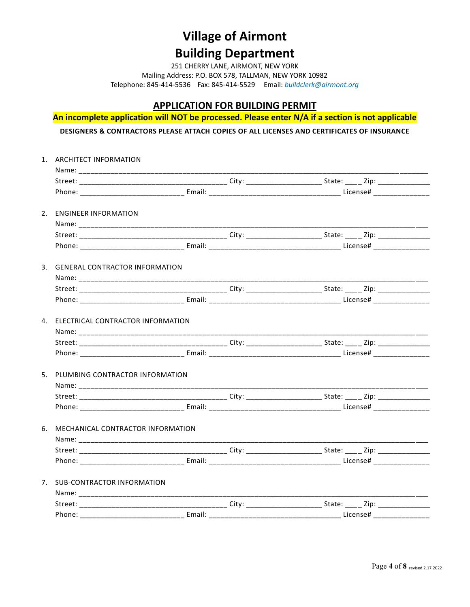251 CHERRY LANE, AIRMONT, NEW YORK Mailing Address: P.O. BOX 578, TALLMAN, NEW YORK 10982 Telephone: 845-414-5536 Fax: 845-414-5529 Email: *buildclerk@airmont.org*

### **APPLICATION FOR BUILDING PERMIT**

**An incomplete application will NOT be processed. Please enter N/A if a section is not applicable**

**DESIGNERS & CONTRACTORS PLEASE ATTACH COPIES OF ALL LICENSES AND CERTIFICATES OF INSURANCE**

| 1. ARCHITECT INFORMATION             |                               |
|--------------------------------------|-------------------------------|
|                                      |                               |
|                                      |                               |
|                                      |                               |
| 2. ENGINEER INFORMATION              |                               |
|                                      |                               |
|                                      |                               |
|                                      |                               |
| 3. GENERAL CONTRACTOR INFORMATION    |                               |
|                                      |                               |
|                                      |                               |
|                                      |                               |
| 4. ELECTRICAL CONTRACTOR INFORMATION |                               |
|                                      |                               |
|                                      |                               |
|                                      |                               |
| 5. PLUMBING CONTRACTOR INFORMATION   |                               |
|                                      |                               |
|                                      |                               |
|                                      |                               |
| 6. MECHANICAL CONTRACTOR INFORMATION |                               |
|                                      | _____________________________ |
|                                      |                               |
|                                      |                               |
| 7. SUB-CONTRACTOR INFORMATION        |                               |
|                                      |                               |
|                                      |                               |
|                                      |                               |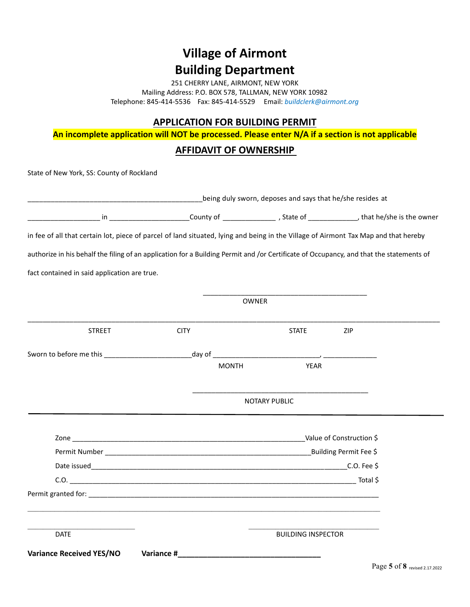251 CHERRY LANE, AIRMONT, NEW YORK Mailing Address: P.O. BOX 578, TALLMAN, NEW YORK 10982 Telephone: 845-414-5536 Fax: 845-414-5529 Email: *buildclerk@airmont.org*

#### **APPLICATION FOR BUILDING PERMIT**

**An incomplete application will NOT be processed. Please enter N/A if a section is not applicable**

#### **AFFIDAVIT OF OWNERSHIP**

State of New York, SS: County of Rockland

|                                                                                                                                         | being duly sworn, deposes and says that he/she resides at |                           |     |  |  |
|-----------------------------------------------------------------------------------------------------------------------------------------|-----------------------------------------------------------|---------------------------|-----|--|--|
|                                                                                                                                         |                                                           |                           |     |  |  |
| in fee of all that certain lot, piece of parcel of land situated, lying and being in the Village of Airmont Tax Map and that hereby     |                                                           |                           |     |  |  |
| authorize in his behalf the filing of an application for a Building Permit and /or Certificate of Occupancy, and that the statements of |                                                           |                           |     |  |  |
| fact contained in said application are true.                                                                                            |                                                           |                           |     |  |  |
|                                                                                                                                         |                                                           | <b>OWNER</b>              |     |  |  |
| <b>STREET</b>                                                                                                                           | <b>CITY</b>                                               | <b>STATE</b>              | ZIP |  |  |
|                                                                                                                                         |                                                           |                           |     |  |  |
|                                                                                                                                         | <b>MONTH</b>                                              | <b>YEAR</b>               |     |  |  |
|                                                                                                                                         |                                                           | <b>NOTARY PUBLIC</b>      |     |  |  |
|                                                                                                                                         |                                                           |                           |     |  |  |
|                                                                                                                                         |                                                           |                           |     |  |  |
|                                                                                                                                         |                                                           |                           |     |  |  |
|                                                                                                                                         |                                                           |                           |     |  |  |
|                                                                                                                                         |                                                           |                           |     |  |  |
| <b>DATE</b>                                                                                                                             |                                                           | <b>BUILDING INSPECTOR</b> |     |  |  |
| <b>Variance Received YES/NO</b>                                                                                                         |                                                           |                           |     |  |  |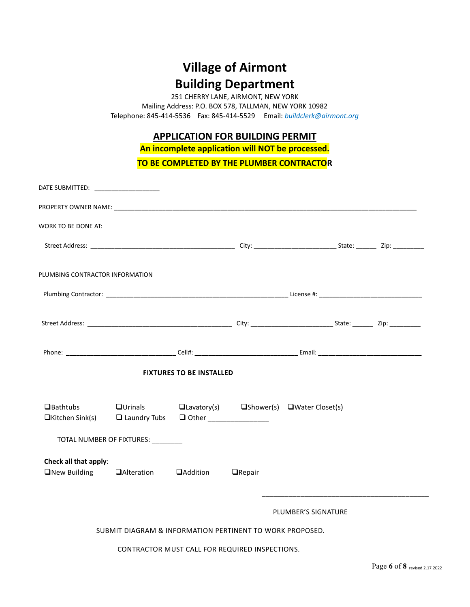251 CHERRY LANE, AIRMONT, NEW YORK Mailing Address: P.O. BOX 578, TALLMAN, NEW YORK 10982 Telephone: 845-414-5536 Fax: 845-414-5529 Email: *buildclerk@airmont.org*

### **APPLICATION FOR BUILDING PERMIT**

**An incomplete application will NOT be processed.**

**TO BE COMPLETED BY THE PLUMBER CONTRACTOR**

| <b>WORK TO BE DONE AT:</b>                                                     |                                                          |                                 |                                                                           |                     |  |
|--------------------------------------------------------------------------------|----------------------------------------------------------|---------------------------------|---------------------------------------------------------------------------|---------------------|--|
|                                                                                |                                                          |                                 |                                                                           |                     |  |
| PLUMBING CONTRACTOR INFORMATION                                                |                                                          |                                 |                                                                           |                     |  |
|                                                                                |                                                          |                                 |                                                                           |                     |  |
|                                                                                |                                                          |                                 |                                                                           |                     |  |
|                                                                                |                                                          |                                 |                                                                           |                     |  |
|                                                                                |                                                          | <b>FIXTURES TO BE INSTALLED</b> |                                                                           |                     |  |
| $\Box$ Bathtubs<br>$\Box$ Kitchen Sink(s)                                      | $\Box$ Laundry Tubs                                      |                                 | $\Box$ Urinals $\Box$ Lavatory(s) $\Box$ Shower(s) $\Box$ Water Closet(s) |                     |  |
|                                                                                | TOTAL NUMBER OF FIXTURES: ________                       |                                 |                                                                           |                     |  |
| Check all that apply:<br>$\Box$ New Building $\Box$ Alteration $\Box$ Addition |                                                          |                                 | $\Box$ Repair                                                             |                     |  |
|                                                                                |                                                          |                                 |                                                                           | PLUMBER'S SIGNATURE |  |
|                                                                                | SUBMIT DIAGRAM & INFORMATION PERTINENT TO WORK PROPOSED. |                                 |                                                                           |                     |  |
|                                                                                |                                                          |                                 |                                                                           |                     |  |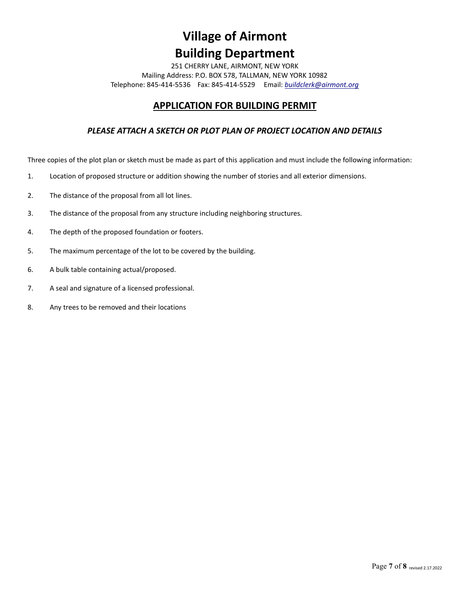251 CHERRY LANE, AIRMONT, NEW YORK Mailing Address: P.O. BOX 578, TALLMAN, NEW YORK 10982 Telephone: 845-414-5536 Fax: 845-414-5529 Email: *[buildclerk@airmont.org](mailto:buildclerk@airmont.org)*

### **APPLICATION FOR BUILDING PERMIT**

#### *PLEASE ATTACH A SKETCH OR PLOT PLAN OF PROJECT LOCATION AND DETAILS*

Three copies of the plot plan or sketch must be made as part of this application and must include the following information:

- 1. Location of proposed structure or addition showing the number of stories and all exterior dimensions.
- 2. The distance of the proposal from all lot lines.
- 3. The distance of the proposal from any structure including neighboring structures.
- 4. The depth of the proposed foundation or footers.
- 5. The maximum percentage of the lot to be covered by the building.
- 6. A bulk table containing actual/proposed.
- 7. A seal and signature of a licensed professional.
- 8. Any trees to be removed and their locations